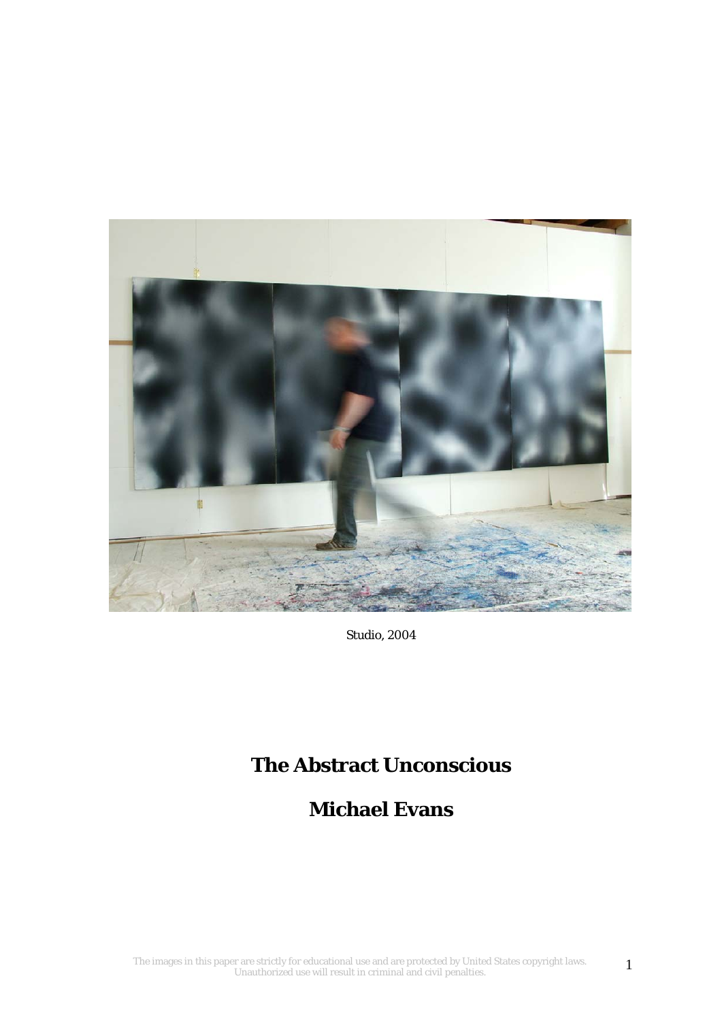

*Studio, 2004* 

# **The Abstract Unconscious**

## **Michael Evans**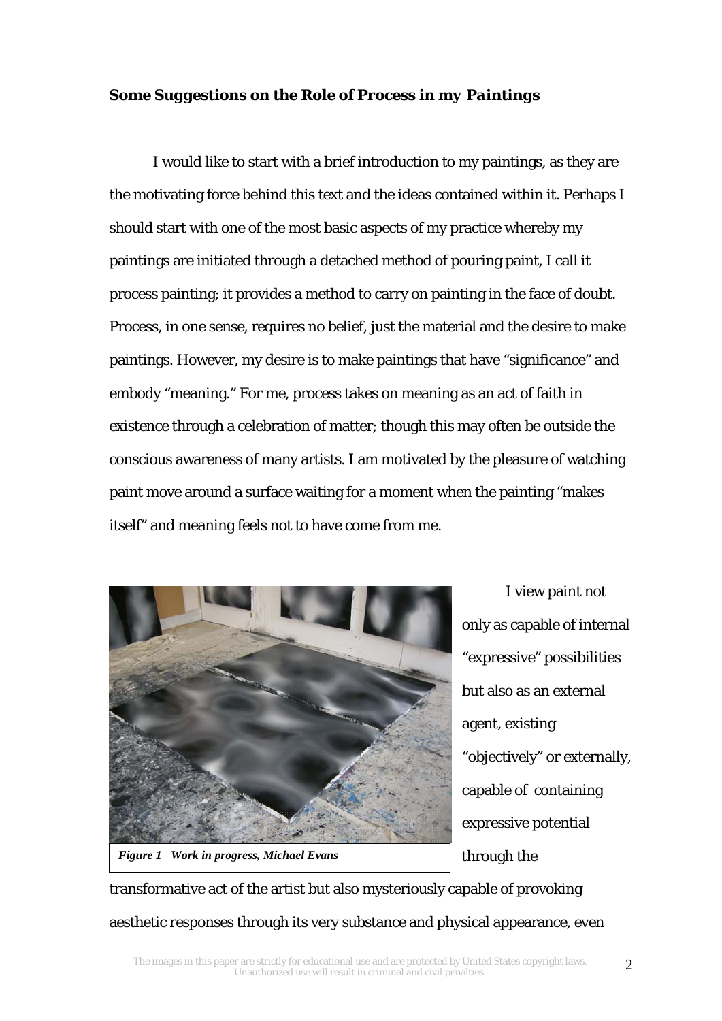### *Some Suggestions on the Role of Process in my Paintings*

I would like to start with a brief introduction to my paintings, as they are the motivating force behind this text and the ideas contained within it. Perhaps I should start with one of the most basic aspects of my practice whereby my paintings are initiated through a detached method of pouring paint, I call it process painting; it provides a method to carry on painting in the face of doubt. Process, in one sense, requires no belief, just the material and the desire to make paintings. However, my desire is to make paintings that have "significance" and embody "meaning." For me, process takes on meaning as an act of faith in existence through a celebration of matter; though this may often be outside the conscious awareness of many artists. I am motivated by the pleasure of watching paint move around a surface waiting for a moment when the painting "makes itself" and meaning feels not to have come from me.



I view paint not only as capable of internal "expressive" possibilities but also as an external agent, existing "objectively" or externally, capable of containing expressive potential through the

transformative act of the artist but also mysteriously capable of provoking aesthetic responses through its very substance and physical appearance, even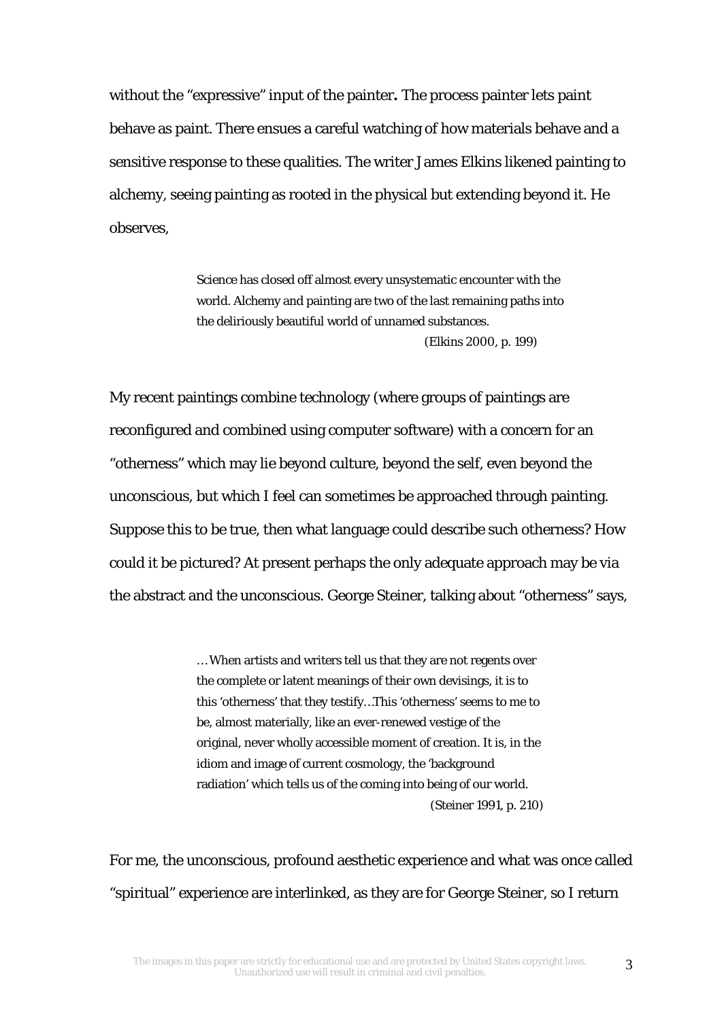without the "expressive" input of the painter**.** The process painter lets paint behave as paint. There ensues a careful watching of how materials behave and a sensitive response to these qualities. The writer James Elkins likened painting to alchemy, seeing painting as rooted in the physical but extending beyond it. He observes,

> Science has closed off almost every unsystematic encounter with the world. Alchemy and painting are two of the last remaining paths into the deliriously beautiful world of unnamed substances. (Elkins 2000, p. 199)

My recent paintings combine technology (where groups of paintings are reconfigured and combined using computer software) with a concern for an "otherness" which may lie beyond culture, beyond the self, even beyond the unconscious, but which I feel can sometimes be approached through painting. Suppose this to be true, then what language could describe such otherness? How could it be pictured? At present perhaps the only adequate approach may be via the abstract and the unconscious. George Steiner, talking about "otherness" says,

> … When artists and writers tell us that they are not regents over the complete or latent meanings of their own devisings, it is to this 'otherness' that they testify…This 'otherness' seems to me to be, almost materially, like an ever-renewed vestige of the original, never wholly accessible moment of creation. It is, in the idiom and image of current cosmology, the 'background radiation' which tells us of the coming into being of our world. (Steiner 1991, p. 210)

For me, the unconscious, profound aesthetic experience and what was once called "spiritual" experience are interlinked, as they are for George Steiner, so I return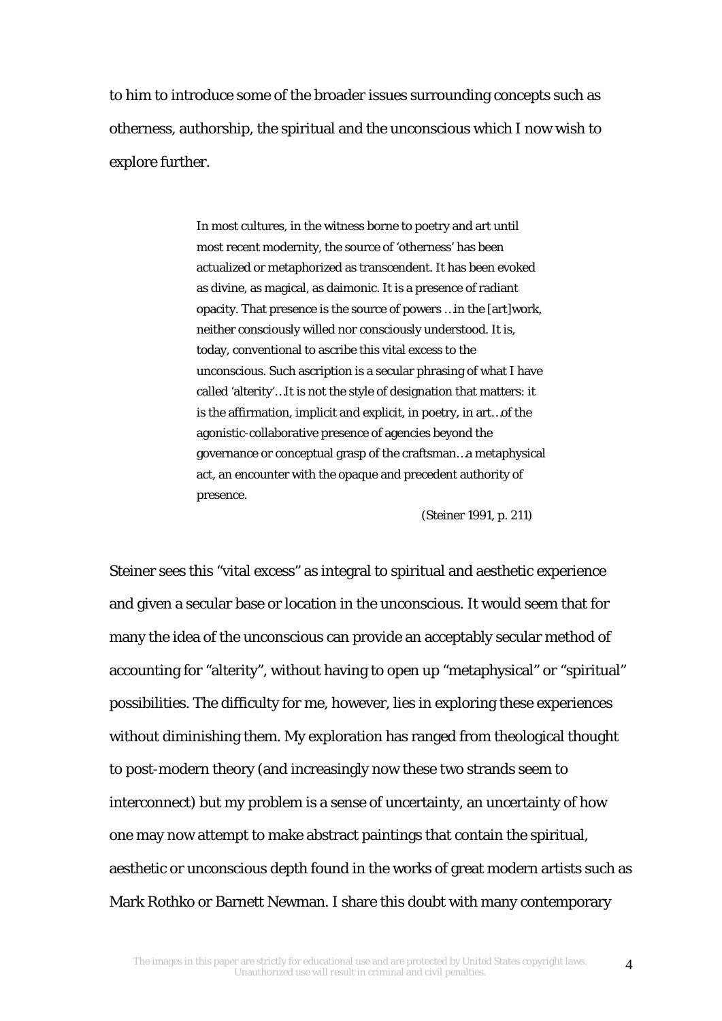to him to introduce some of the broader issues surrounding concepts such as otherness, authorship, the spiritual and the unconscious which I now wish to explore further.

> In most cultures, in the witness borne to poetry and art until most recent modernity, the source of 'otherness' has been actualized or metaphorized as transcendent. It has been evoked as divine, as magical, as daimonic. It is a presence of radiant opacity. That presence is the source of powers …in the [art]work, neither consciously willed nor consciously understood. It is, today, conventional to ascribe this vital excess to the unconscious. Such ascription is a secular phrasing of what I have called 'alterity'…It is not the style of designation that matters: it is the affirmation, implicit and explicit, in poetry, in art…of the agonistic-collaborative presence of agencies beyond the governance or conceptual grasp of the craftsman…a metaphysical act, an encounter with the opaque and precedent authority of presence.

> > (Steiner 1991, p. 211)

Steiner sees this "vital excess" as integral to spiritual and aesthetic experience and given a secular base or location in the unconscious. It would seem that for many the idea of the unconscious can provide an acceptably secular method of accounting for "alterity", without having to open up "metaphysical" or "spiritual" possibilities. The difficulty for me, however, lies in exploring these experiences without diminishing them. My exploration has ranged from theological thought to post-modern theory (and increasingly now these two strands seem to interconnect) but my problem is a sense of uncertainty, an uncertainty of how one may now attempt to make abstract paintings that contain the spiritual, aesthetic or unconscious depth found in the works of great modern artists such as Mark Rothko or Barnett Newman. I share this doubt with many contemporary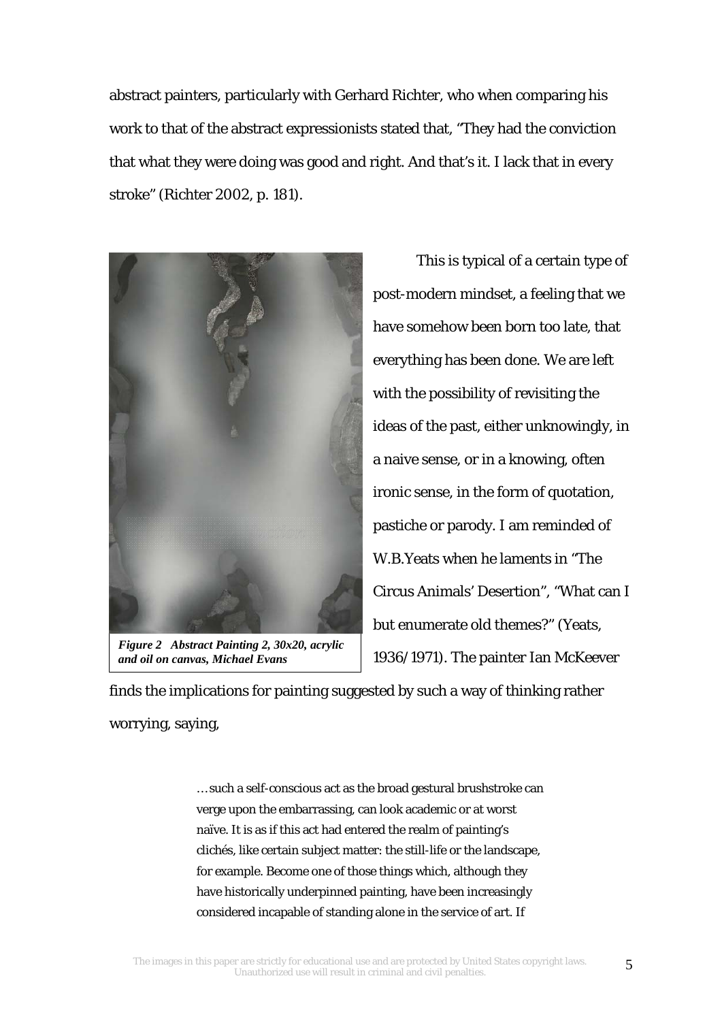abstract painters, particularly with Gerhard Richter, who when comparing his work to that of the abstract expressionists stated that, "They had the conviction that what they were doing was good and right. And that's it. I lack that in every stroke" (Richter 2002, p. 181).



*Figure 2 Abstract Painting 2, 30x20, acrylic and oil on canvas, Michael Evans* 

This is typical of a certain type of post-modern mindset, a feeling that we have somehow been born too late, that everything has been done. We are left with the possibility of revisiting the ideas of the past, either unknowingly, in a naive sense, or in a knowing, often ironic sense, in the form of quotation, pastiche or parody. I am reminded of W.B.Yeats when he laments in "The Circus Animals' Desertion", "What can I but enumerate old themes?" (Yeats, 1936/1971). The painter Ian McKeever

finds the implications for painting suggested by such a way of thinking rather worrying, saying,

> … such a self-conscious act as the broad gestural brushstroke can verge upon the embarrassing, can look academic or at worst naïve. It is as if this act had entered the realm of painting's clichés, like certain subject matter: the still-life or the landscape, for example. Become one of those things which, although they have historically underpinned painting, have been increasingly considered incapable of standing alone in the service of art. If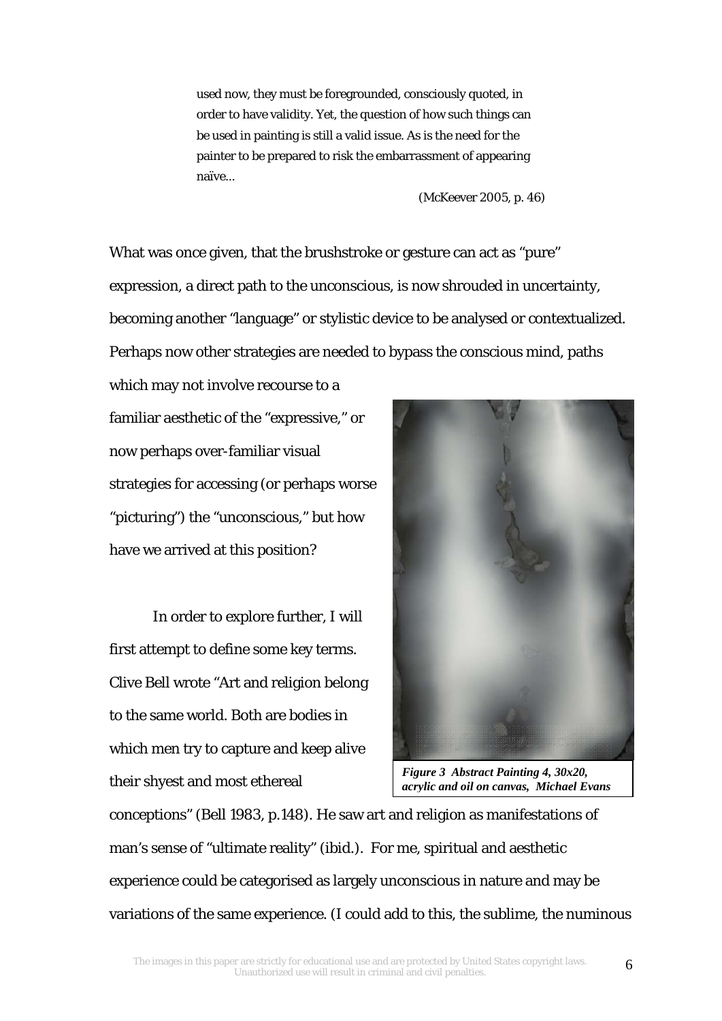used now, they must be foregrounded, consciously quoted, in order to have validity. Yet, the question of how such things can be used in painting is still a valid issue. As is the need for the painter to be prepared to risk the embarrassment of appearing naïve...

(McKeever 2005, p. 46)

What was once given, that the brushstroke or gesture can act as "pure" expression, a direct path to the unconscious, is now shrouded in uncertainty, becoming another "language" or stylistic device to be analysed or contextualized. Perhaps now other strategies are needed to bypass the conscious mind, paths

which may not involve recourse to a familiar aesthetic of the "expressive," or now perhaps over-familiar visual strategies for accessing (or perhaps worse "picturing") the "unconscious," but how have we arrived at this position?

In order to explore further, I will first attempt to define some key terms. Clive Bell wrote "Art and religion belong to the same world. Both are bodies in which men try to capture and keep alive their shyest and most ethereal



*Figure 3 Abstract Painting 4, 30x20, acrylic and oil on canvas, Michael Evans*

conceptions" (Bell 1983, p.148). He saw art and religion as manifestations of man's sense of "ultimate reality" (ibid.). For me, spiritual and aesthetic experience could be categorised as largely unconscious in nature and may be variations of the same experience. (I could add to this, the sublime, the numinous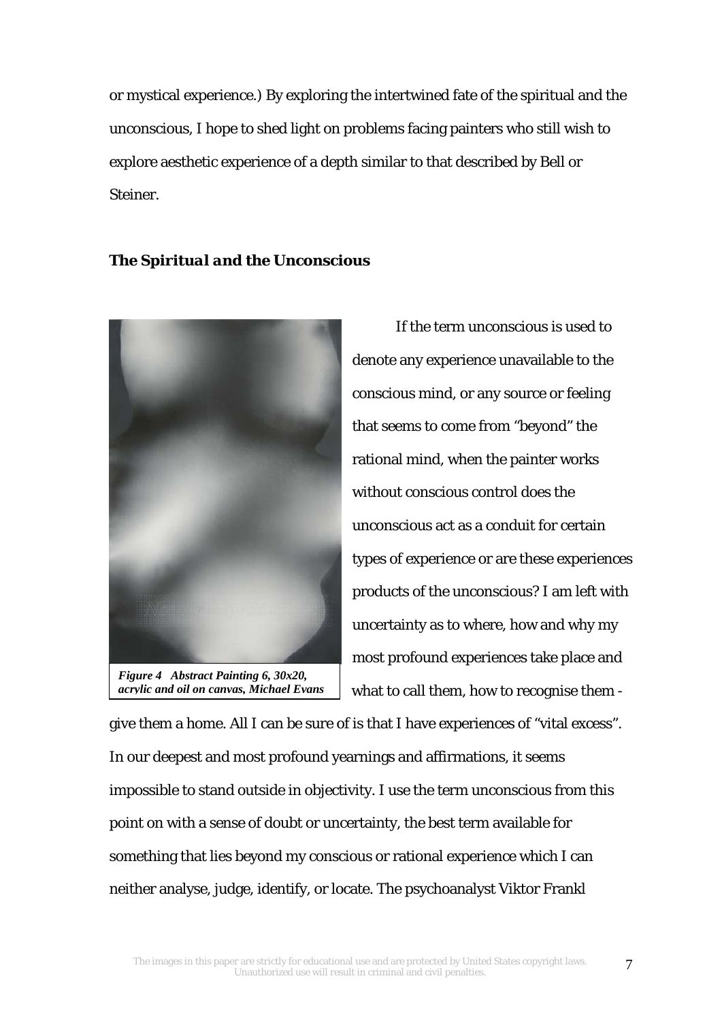or mystical experience.) By exploring the intertwined fate of the spiritual and the unconscious, I hope to shed light on problems facing painters who still wish to explore aesthetic experience of a depth similar to that described by Bell or Steiner.

## *The Spiritual and the Unconscious*



*Figure 4 Abstract Painting 6, 30x20, acrylic and oil on canvas, Michael Evans*

 If the term unconscious is used to denote any experience unavailable to the conscious mind, or any source or feeling that seems to come from "beyond" the rational mind, when the painter works without conscious control does the unconscious act as a conduit for certain types of experience or are these experiences products of the unconscious? I am left with uncertainty as to where, how and why my most profound experiences take place and what to call them, how to recognise them -

give them a home. All I can be sure of is that I have experiences of "vital excess". In our deepest and most profound yearnings and affirmations, it seems impossible to stand outside in objectivity. I use the term unconscious from this point on with a sense of doubt or uncertainty, the best term available for something that lies beyond my conscious or rational experience which I can neither analyse, judge, identify, or locate. The psychoanalyst Viktor Frankl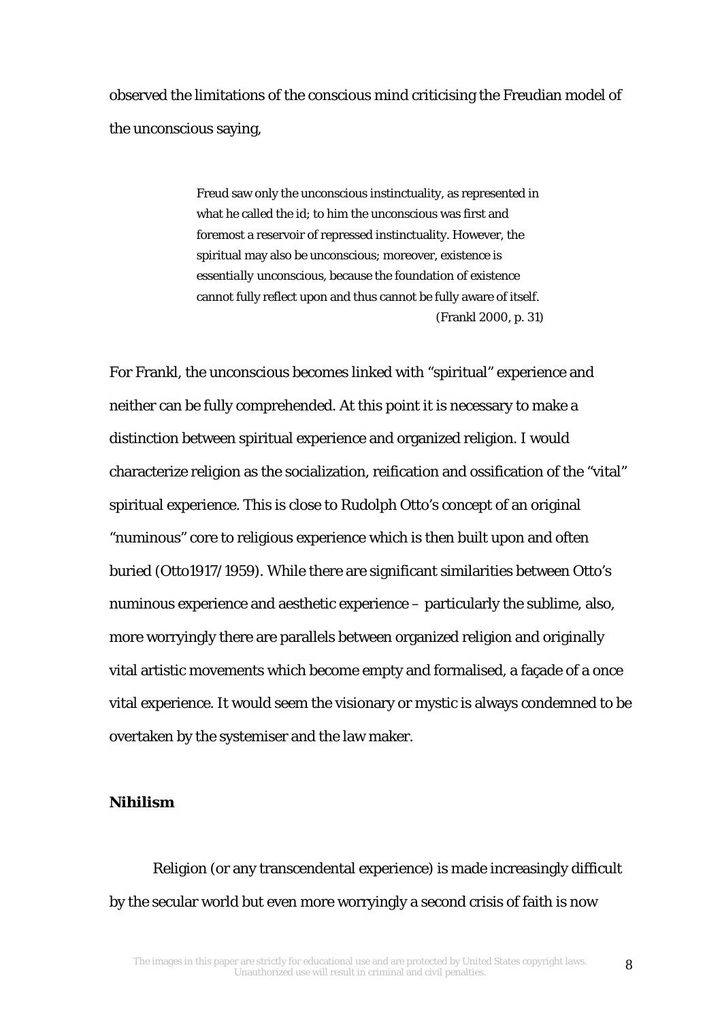observed the limitations of the conscious mind criticising the Freudian model of the unconscious saying,

> Freud saw only the unconscious instinctuality, as represented in what he called the id; to him the unconscious was first and foremost a reservoir of repressed instinctuality. However, the spiritual may also be unconscious; moreover, existence is *essentially* unconscious, because the foundation of existence cannot fully reflect upon and thus cannot be fully aware of itself. (Frankl 2000, p. 31)

For Frankl, the unconscious becomes linked with "spiritual" experience and neither can be fully comprehended. At this point it is necessary to make a distinction between spiritual experience and organized religion. I would characterize religion as the socialization, reification and ossification of the "vital" spiritual experience. This is close to Rudolph Otto's concept of an original "numinous" core to religious experience which is then built upon and often buried (Otto1917/1959). While there are significant similarities between Otto's numinous experience and aesthetic experience – particularly the sublime, also, more worryingly there are parallels between organized religion and originally vital artistic movements which become empty and formalised, a façade of a once vital experience. It would seem the visionary or mystic is always condemned to be overtaken by the systemiser and the law maker.

### *Nihilism*

Religion (or any transcendental experience) is made increasingly difficult by the secular world but even more worryingly a second crisis of faith is now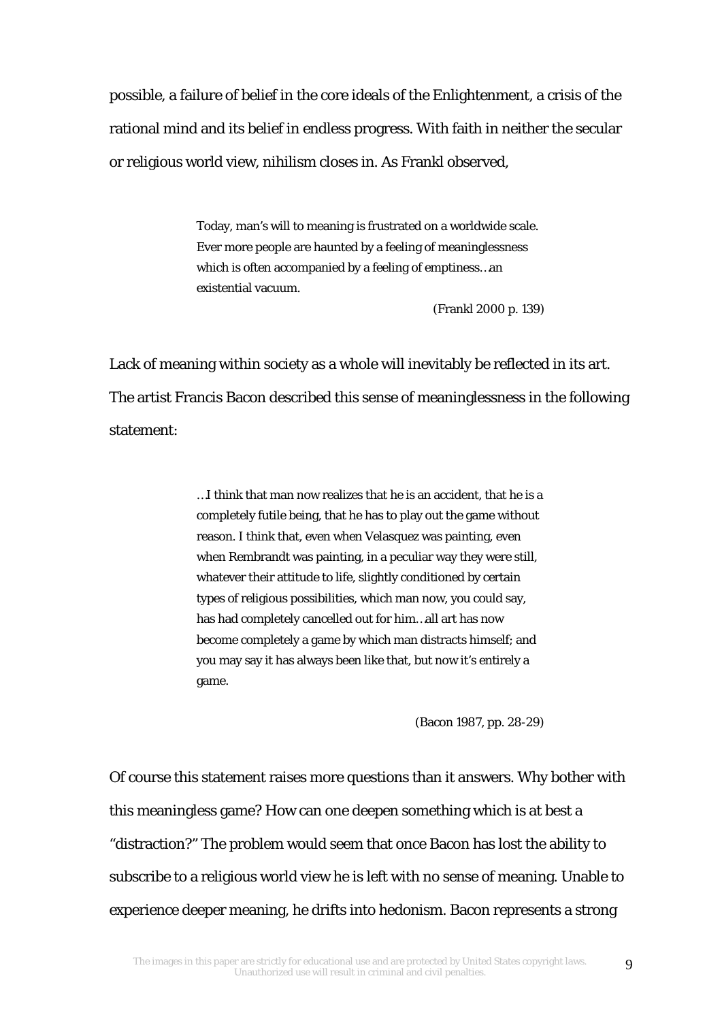possible, a failure of belief in the core ideals of the Enlightenment, a crisis of the rational mind and its belief in endless progress. With faith in neither the secular or religious world view, nihilism closes in. As Frankl observed,

> Today, man's will to meaning is frustrated on a worldwide scale. Ever more people are haunted by a feeling of meaninglessness which is often accompanied by a feeling of emptiness…an existential vacuum.

> > (Frankl 2000 p. 139)

Lack of meaning within society as a whole will inevitably be reflected in its art. The artist Francis Bacon described this sense of meaninglessness in the following statement:

> …I think that man now realizes that he is an accident, that he is a completely futile being, that he has to play out the game without reason. I think that, even when Velasquez was painting, even when Rembrandt was painting, in a peculiar way they were still, whatever their attitude to life, slightly conditioned by certain types of religious possibilities, which man now, you could say, has had completely cancelled out for him…all art has now become completely a game by which man distracts himself; and you may say it has always been like that, but now it's entirely a game.

> > (Bacon 1987, pp. 28-29)

Of course this statement raises more questions than it answers. Why bother with this meaningless game? How can one deepen something which is at best a "distraction?" The problem would seem that once Bacon has lost the ability to subscribe to a religious world view he is left with no sense of meaning. Unable to experience deeper meaning, he drifts into hedonism. Bacon represents a strong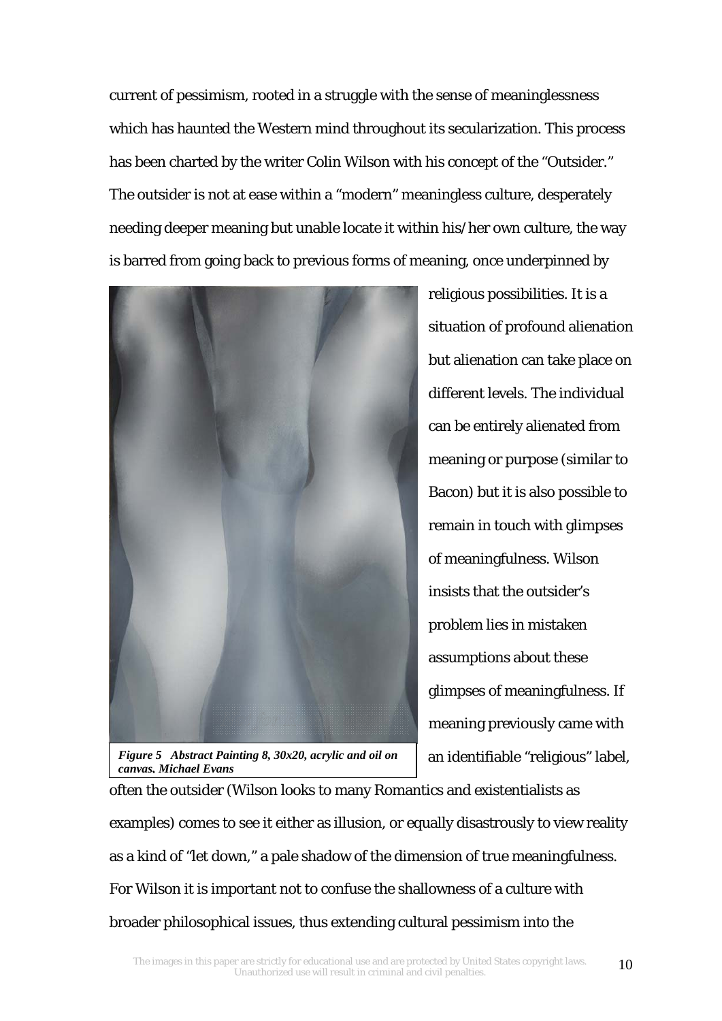current of pessimism, rooted in a struggle with the sense of meaninglessness which has haunted the Western mind throughout its secularization. This process has been charted by the writer Colin Wilson with his concept of the "Outsider." The outsider is not at ease within a "modern" meaningless culture, desperately needing deeper meaning but unable locate it within his/her own culture, the way is barred from going back to previous forms of meaning, once underpinned by



*Figure 5 Abstract Painting 8, 30x20, acrylic and oil on canvas, Michael Evans*

religious possibilities. It is a situation of profound alienation but alienation can take place on different levels. The individual can be entirely alienated from meaning or purpose (similar to Bacon) but it is also possible to remain in touch with glimpses of meaningfulness. Wilson insists that the outsider's problem lies in mistaken assumptions about these glimpses of meaningfulness. If meaning previously came with an identifiable "religious" label,

often the outsider (Wilson looks to many Romantics and existentialists as examples) comes to see it either as illusion, or equally disastrously to view reality as a kind of "let down," a pale shadow of the dimension of true meaningfulness. For Wilson it is important not to confuse the shallowness of a culture with broader philosophical issues, thus extending cultural pessimism into the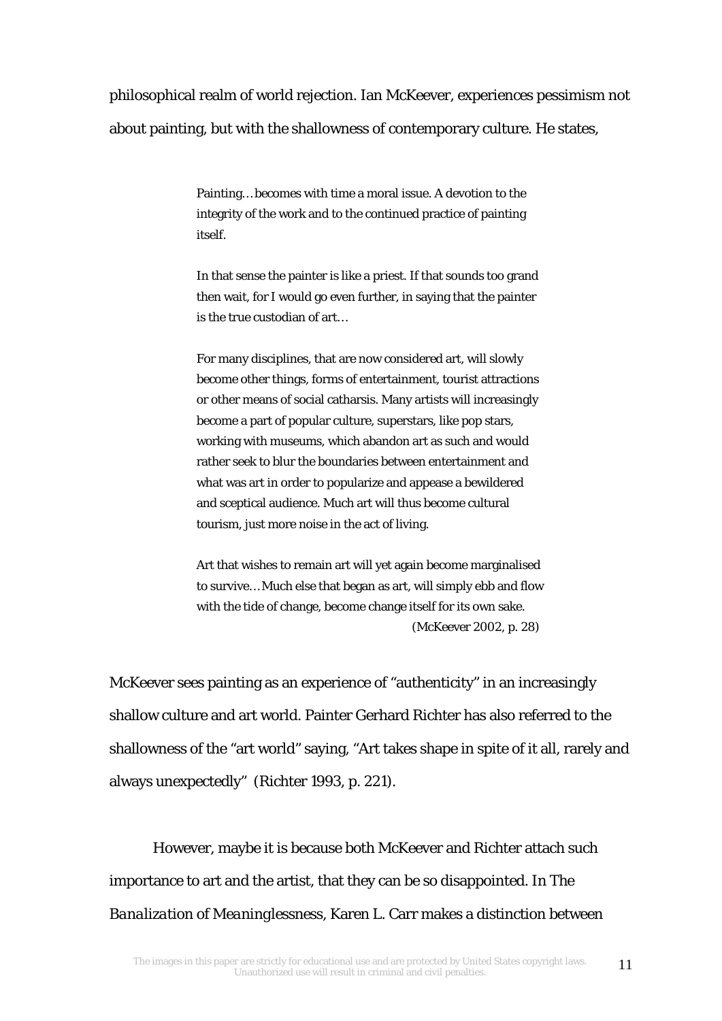philosophical realm of world rejection. Ian McKeever, experiences pessimism not about painting, but with the shallowness of contemporary culture. He states,

> Painting… becomes with time a moral issue. A devotion to the integrity of the work and to the continued practice of painting itself.

In that sense the painter is like a priest. If that sounds too grand then wait, for I would go even further, in saying that the painter is the true custodian of art…

For many disciplines, that are now considered art, will slowly become other things, forms of entertainment, tourist attractions or other means of social catharsis. Many artists will increasingly become a part of popular culture, superstars, like pop stars, working with museums, which abandon art as such and would rather seek to blur the boundaries between entertainment and what was art in order to popularize and appease a bewildered and sceptical audience. Much art will thus become cultural tourism, just more noise in the act of living.

Art that wishes to remain art will yet again become marginalised to survive… Much else that began as art, will simply ebb and flow with the tide of change, become change itself for its own sake. (McKeever 2002, p. 28)

McKeever sees painting as an experience of "authenticity" in an increasingly shallow culture and art world. Painter Gerhard Richter has also referred to the shallowness of the "art world" saying, "Art takes shape in spite of it all, rarely and always unexpectedly" (Richter 1993, p. 221).

However, maybe it is because both McKeever and Richter attach such importance to art and the artist, that they can be so disappointed. In *The Banalization of Meaninglessness*, Karen L. Carr makes a distinction between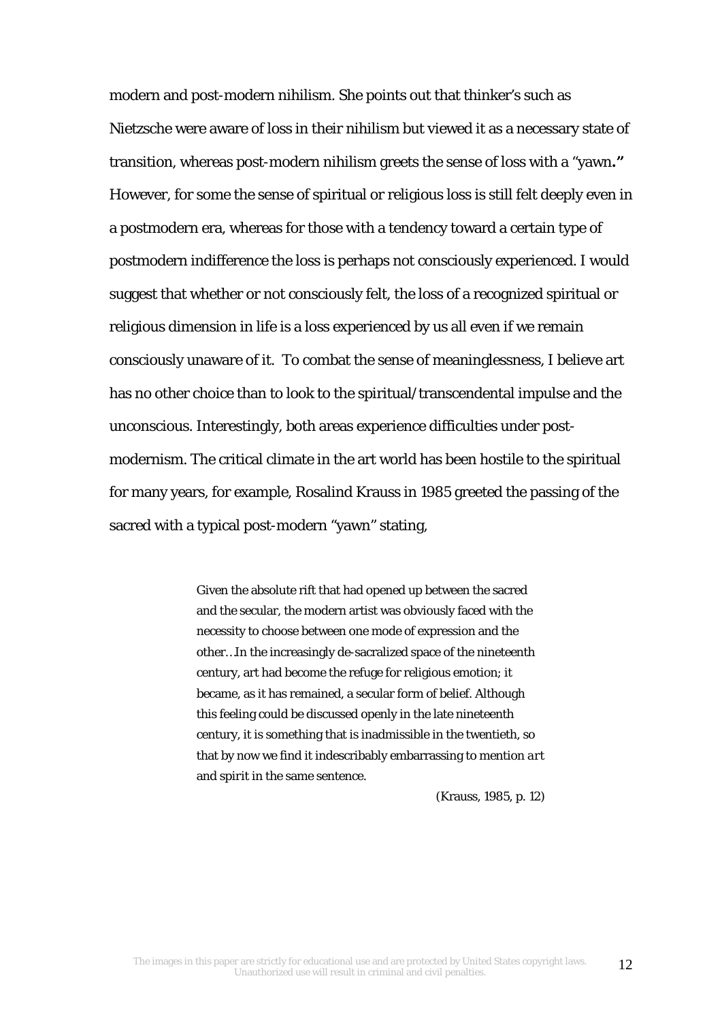modern and post-modern nihilism. She points out that thinker's such as Nietzsche were aware of loss in their nihilism but viewed it as a necessary state of transition, whereas post-modern nihilism greets the sense of loss with a "yawn**."**  However, for some the sense of spiritual or religious loss is still felt deeply even in a postmodern era, whereas for those with a tendency toward a certain type of postmodern indifference the loss is perhaps not consciously experienced. I would suggest that whether or not consciously felt, the loss of a recognized spiritual or religious dimension in life is a loss experienced by us all even if we remain consciously unaware of it. To combat the sense of meaninglessness, I believe art has no other choice than to look to the spiritual/transcendental impulse and the unconscious. Interestingly, both areas experience difficulties under postmodernism. The critical climate in the art world has been hostile to the spiritual for many years, for example, Rosalind Krauss in 1985 greeted the passing of the sacred with a typical post-modern "yawn" stating,

> Given the absolute rift that had opened up between the sacred and the secular, the modern artist was obviously faced with the necessity to choose between one mode of expression and the other…In the increasingly de-sacralized space of the nineteenth century, art had become the refuge for religious emotion; it became, as it has remained, a secular form of belief. Although this feeling could be discussed openly in the late nineteenth century, it is something that is inadmissible in the twentieth, so that by now we find it indescribably embarrassing to mention *art* and *spirit* in the same sentence.

> > (Krauss, 1985, p. 12)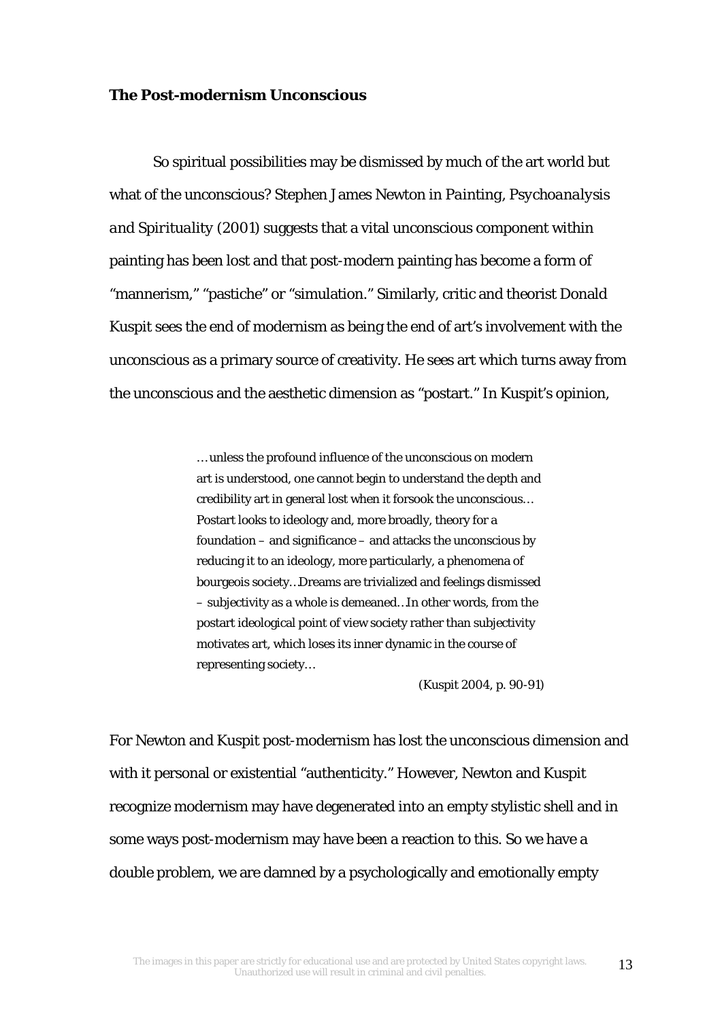#### *The Post-modernism Unconscious*

So spiritual possibilities may be dismissed by much of the art world but what of the unconscious? Stephen James Newton in *Painting, Psychoanalysis and Spirituality* (2001) suggests that a vital unconscious component within painting has been lost and that post-modern painting has become a form of "mannerism," "pastiche" or "simulation." Similarly, critic and theorist Donald Kuspit sees the end of modernism as being the end of art's involvement with the unconscious as a primary source of creativity. He sees art which turns away from the unconscious and the aesthetic dimension as "postart." In Kuspit's opinion,

> … unless the profound influence of the unconscious on modern art is understood, one cannot begin to understand the depth and credibility art in general lost when it forsook the unconscious… Postart looks to ideology and, more broadly, theory for a foundation – and significance – and attacks the unconscious by reducing it to an ideology, more particularly, a phenomena of bourgeois society…Dreams are trivialized and feelings dismissed – subjectivity as a whole is demeaned…In other words, from the postart ideological point of view society rather than subjectivity motivates art, which loses its inner dynamic in the course of representing society…

> > (Kuspit 2004, p. 90-91)

For Newton and Kuspit post-modernism has lost the unconscious dimension and with it personal or existential "authenticity." However, Newton and Kuspit recognize modernism may have degenerated into an empty stylistic shell and in some ways post-modernism may have been a reaction to this. So we have a double problem, we are damned by a psychologically and emotionally empty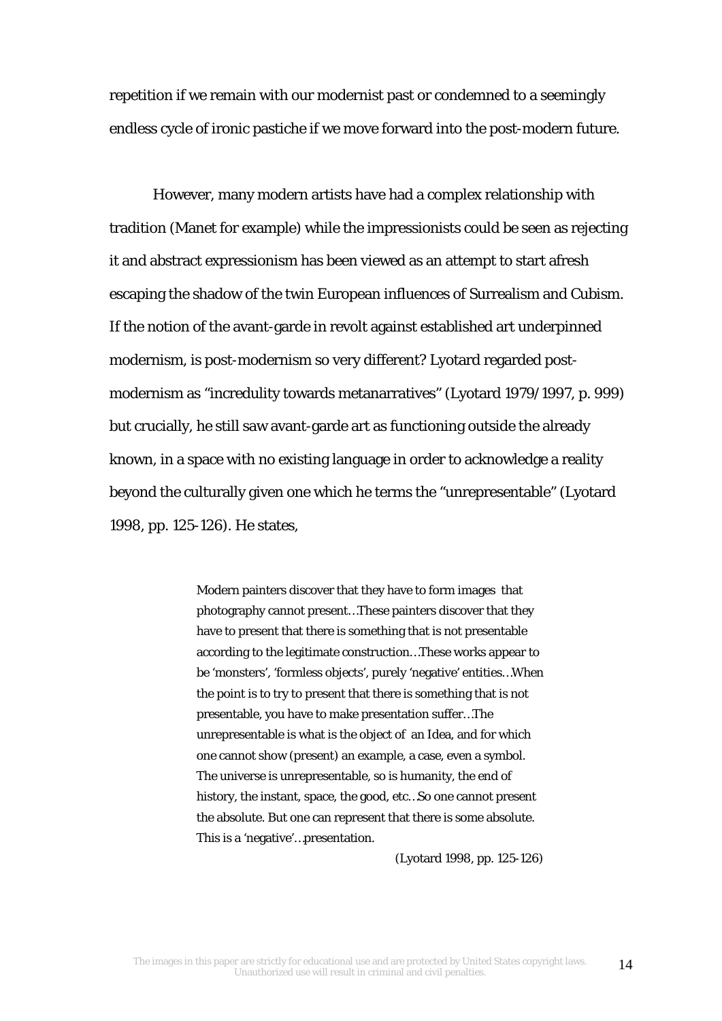repetition if we remain with our modernist past or condemned to a seemingly endless cycle of ironic pastiche if we move forward into the post-modern future.

However, many modern artists have had a complex relationship with tradition (Manet for example) while the impressionists could be seen as rejecting it and abstract expressionism has been viewed as an attempt to start afresh escaping the shadow of the twin European influences of Surrealism and Cubism. If the notion of the avant-garde in revolt against established art underpinned modernism, is post-modernism so very different? Lyotard regarded postmodernism as "incredulity towards metanarratives" (Lyotard 1979/1997, p. 999) but crucially, he still saw avant-garde art as functioning outside the already known, in a space with no existing language in order to acknowledge a reality beyond the culturally given one which he terms the "unrepresentable" (Lyotard 1998, pp. 125-126). He states,

> Modern painters discover that they have to form images that photography cannot present…These painters discover that they have to present that there is something that is not presentable according to the legitimate construction…These works appear to be 'monsters', 'formless objects', purely 'negative' entities…When the point is to try to present that there is something that is not presentable, you have to make presentation suffer…The unrepresentable is what is the object of an Idea, and for which one cannot show (present) an example, a case, even a symbol. The universe is unrepresentable, so is humanity, the end of history, the instant, space, the good, etc…So one cannot present the absolute. But one can represent that there is some absolute. This is a 'negative'…presentation.

> > (Lyotard 1998, pp. 125-126)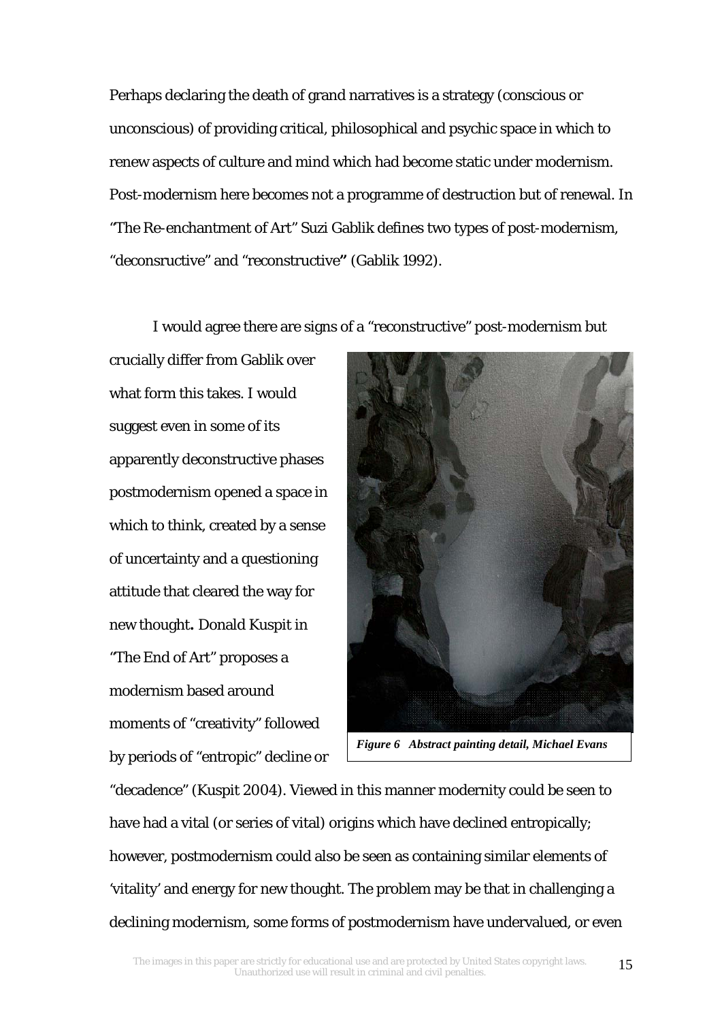Perhaps declaring the death of grand narratives is a strategy (conscious or unconscious) of providing critical, philosophical and psychic space in which to renew aspects of culture and mind which had become static under modernism. Post-modernism here becomes not a programme of destruction but of renewal. In "The Re-enchantment of Art" Suzi Gablik defines two types of post-modernism, "deconsructive" and "reconstructive**"** (Gablik 1992).

I would agree there are signs of a "reconstructive" post-modernism but

crucially differ from Gablik over what form this takes. I would suggest even in some of its apparently deconstructive phases postmodernism opened a space in which to think, created by a sense of uncertainty and a questioning attitude that cleared the way for new thought**.** Donald Kuspit in "The End of Art" proposes a modernism based around moments of "creativity" followed by periods of "entropic" decline or



*Figure 6 Abstract painting detail, Michael Evans* 

"decadence" (Kuspit 2004). Viewed in this manner modernity could be seen to have had a vital (or series of vital) origins which have declined entropically; however, postmodernism could also be seen as containing similar elements of 'vitality' and energy for new thought. The problem may be that in challenging a declining modernism, some forms of postmodernism have undervalued, or even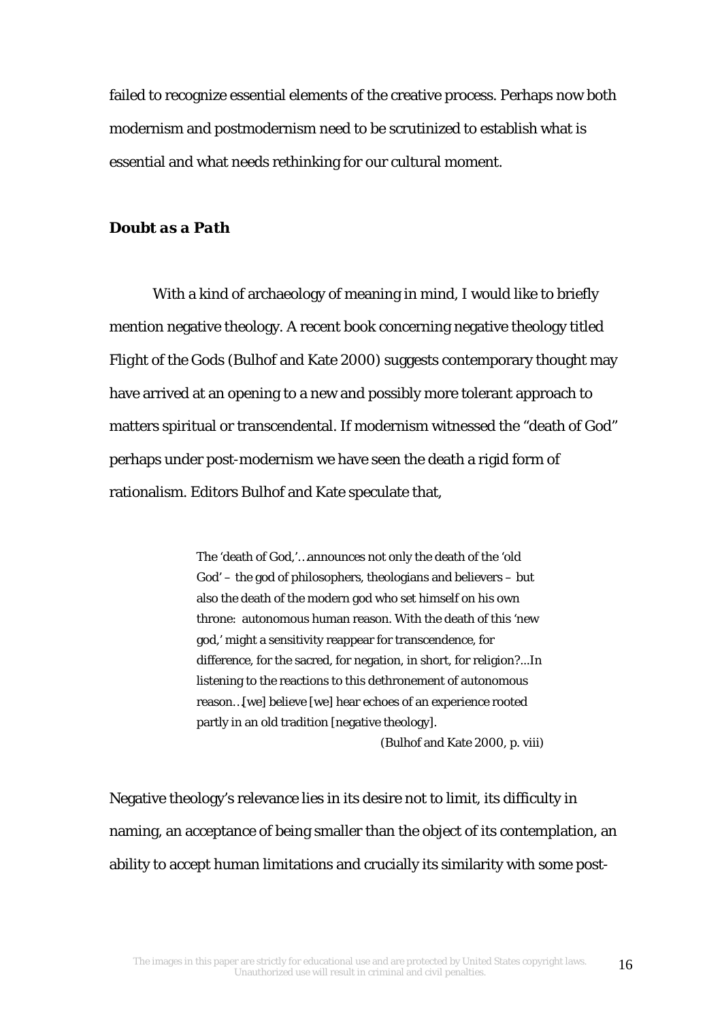failed to recognize essential elements of the creative process. Perhaps now both modernism and postmodernism need to be scrutinized to establish what is essential and what needs rethinking for our cultural moment.

### *Doubt as a Path*

With a kind of archaeology of meaning in mind, I would like to briefly mention negative theology. A recent book concerning negative theology titled *Flight of the Gods* (Bulhof and Kate 2000) suggests contemporary thought may have arrived at an opening to a new and possibly more tolerant approach to matters spiritual or transcendental. If modernism witnessed the "death of God" perhaps under post-modernism we have seen the death a rigid form of rationalism. Editors Bulhof and Kate speculate that,

> The 'death of God,'…announces not only the death of the 'old God' – the god of philosophers, theologians and believers – but also the death of the modern god who set himself on his own throne: autonomous human reason. With the death of this 'new god,' might a sensitivity reappear for transcendence, for difference, for the sacred, for negation, in short, for religion?...In listening to the reactions to this dethronement of autonomous reason…[we] believe [we] hear echoes of an experience rooted partly in an old tradition [negative theology].

> > (Bulhof and Kate 2000, p. viii)

Negative theology's relevance lies in its desire not to limit, its difficulty in naming, an acceptance of being smaller than the object of its contemplation, an ability to accept human limitations and crucially its similarity with some post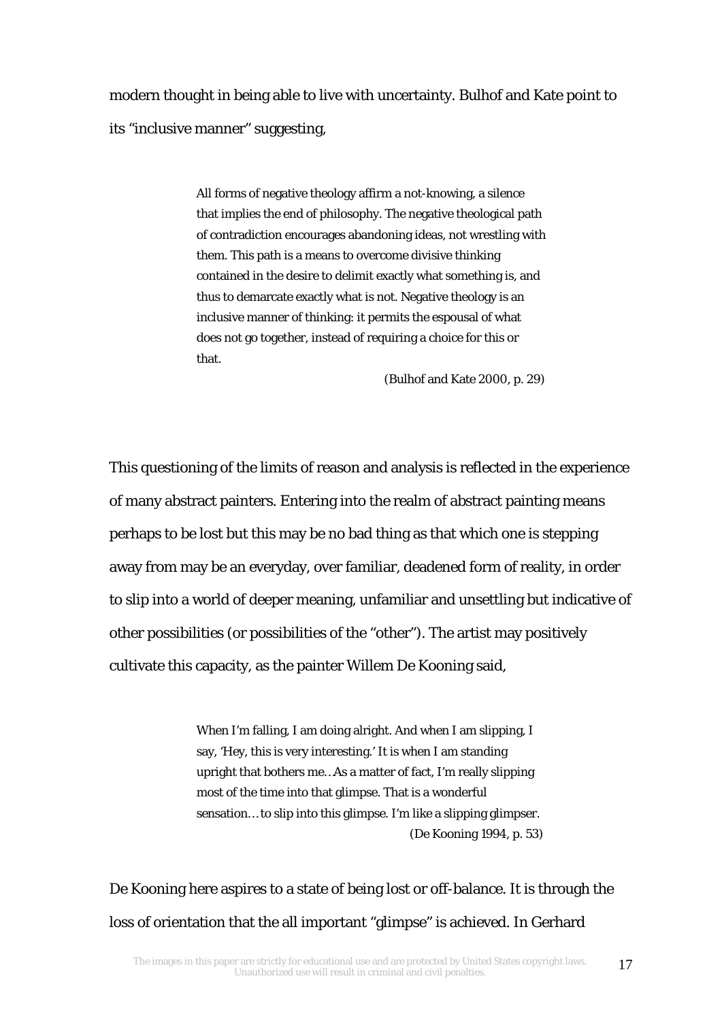modern thought in being able to live with uncertainty. Bulhof and Kate point to its "inclusive manner" suggesting,

> All forms of negative theology affirm a not-knowing, a silence that implies the end of philosophy. The negative theological path of contradiction encourages abandoning ideas, not wrestling with them. This path is a means to overcome divisive thinking contained in the desire to delimit exactly what something is, and thus to demarcate exactly what is not. Negative theology is an inclusive manner of thinking: it permits the espousal of what does not go together, instead of requiring a choice for this or that.

> > (Bulhof and Kate 2000, p. 29)

This questioning of the limits of reason and analysis is reflected in the experience of many abstract painters. Entering into the realm of abstract painting means perhaps to be lost but this may be no bad thing as that which one is stepping away from may be an everyday, over familiar, deadened form of reality, in order to slip into a world of deeper meaning, unfamiliar and unsettling but indicative of other possibilities (or possibilities of the "other"). The artist may positively cultivate this capacity, as the painter Willem De Kooning said,

> When I'm falling, I am doing alright. And when I am slipping, I say, 'Hey, this is very interesting.' It is when I am standing upright that bothers me…As a matter of fact, I'm really slipping most of the time into that glimpse. That is a wonderful sensation… to slip into this glimpse. I'm like a slipping glimpser. (De Kooning 1994, p. 53)

De Kooning here aspires to a state of being lost or off-balance. It is through the loss of orientation that the all important "glimpse" is achieved. In Gerhard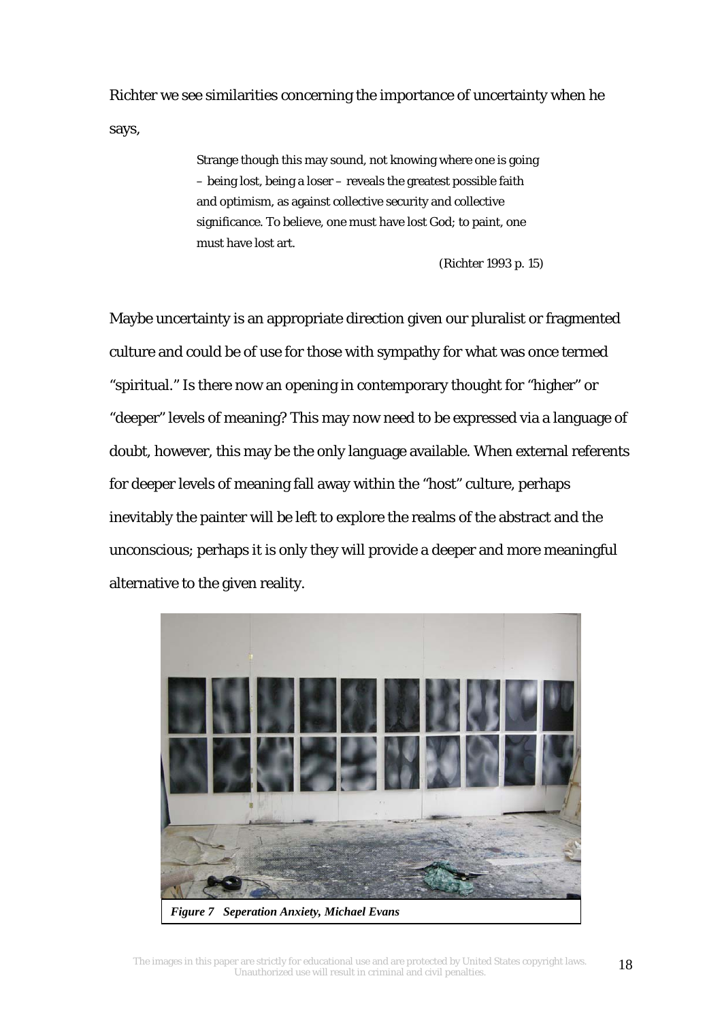Richter we see similarities concerning the importance of uncertainty when he says,

> Strange though this may sound, not knowing where one is going – being lost, being a loser – reveals the greatest possible faith and optimism, as against collective security and collective significance. To believe, one must have lost God; to paint, one must have lost art.

> > (Richter 1993 p. 15)

Maybe uncertainty is an appropriate direction given our pluralist or fragmented culture and could be of use for those with sympathy for what was once termed "spiritual." Is there now an opening in contemporary thought for "higher" or "deeper" levels of meaning? This may now need to be expressed via a language of doubt, however, this may be the only language available. When external referents for deeper levels of meaning fall away within the "host" culture, perhaps inevitably the painter will be left to explore the realms of the abstract and the unconscious; perhaps it is only they will provide a deeper and more meaningful alternative to the given reality.

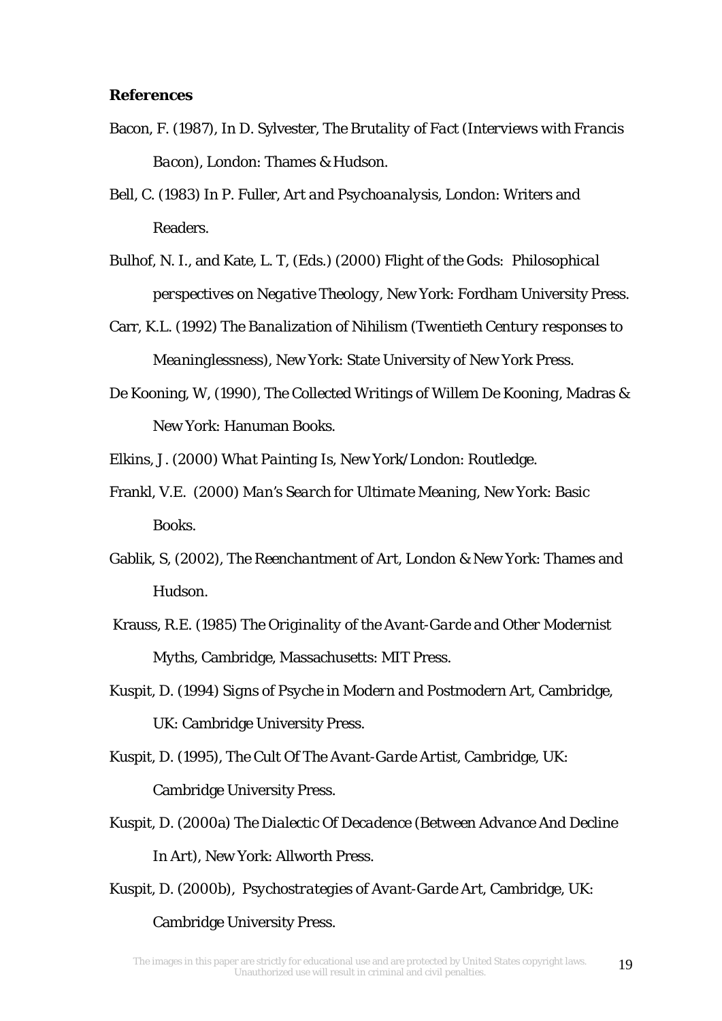#### **References**

- Bacon, F. (1987), In D. Sylvester, *The Brutality of Fact (Interviews with Francis Bacon),* London: Thames & Hudson.
- Bell, C. (1983) In P. Fuller, *Art and Psychoanalysis*, London: Writers and Readers.
- Bulhof, N. I., and Kate, L. T, (Eds.) (2000) *Flight of the Gods: Philosophical perspectives on Negative Theology*, New York: Fordham University Press.
- Carr, K.L. (1992) *The Banalization of Nihilism (Twentieth Century responses to Meaninglessness),* New York: State University of New York Press.
- De Kooning, W, (1990), *The Collected Writings of Willem De Kooning*, Madras & New York: Hanuman Books.
- Elkins, J. (2000) *What Painting Is*, New York/London: Routledge.
- Frankl, V.E. (2000) *Man's Search for Ultimate Meaning*, New York: Basic Books.
- Gablik, S, (2002), *The Reenchantment of Art*, London & New York: Thames and Hudson.
- Krauss, R.E. (1985) *The Originality of the Avant-Garde and Other Modernist Myths,* Cambridge, Massachusetts: MIT Press.
- Kuspit, D. (1994) *Signs of Psyche in Modern and Postmodern Art*, Cambridge, UK: Cambridge University Press.
- Kuspit, D. (1995), *The Cult Of The Avant-Garde Artist*, Cambridge, UK: Cambridge University Press.
- Kuspit, D. (2000a) *The Dialectic Of Decadence (Between Advance And Decline In Art)*, New York: Allworth Press.
- Kuspit, D. (2000b), *Psychostrategies of Avant-Garde Art*, Cambridge, UK: Cambridge University Press.